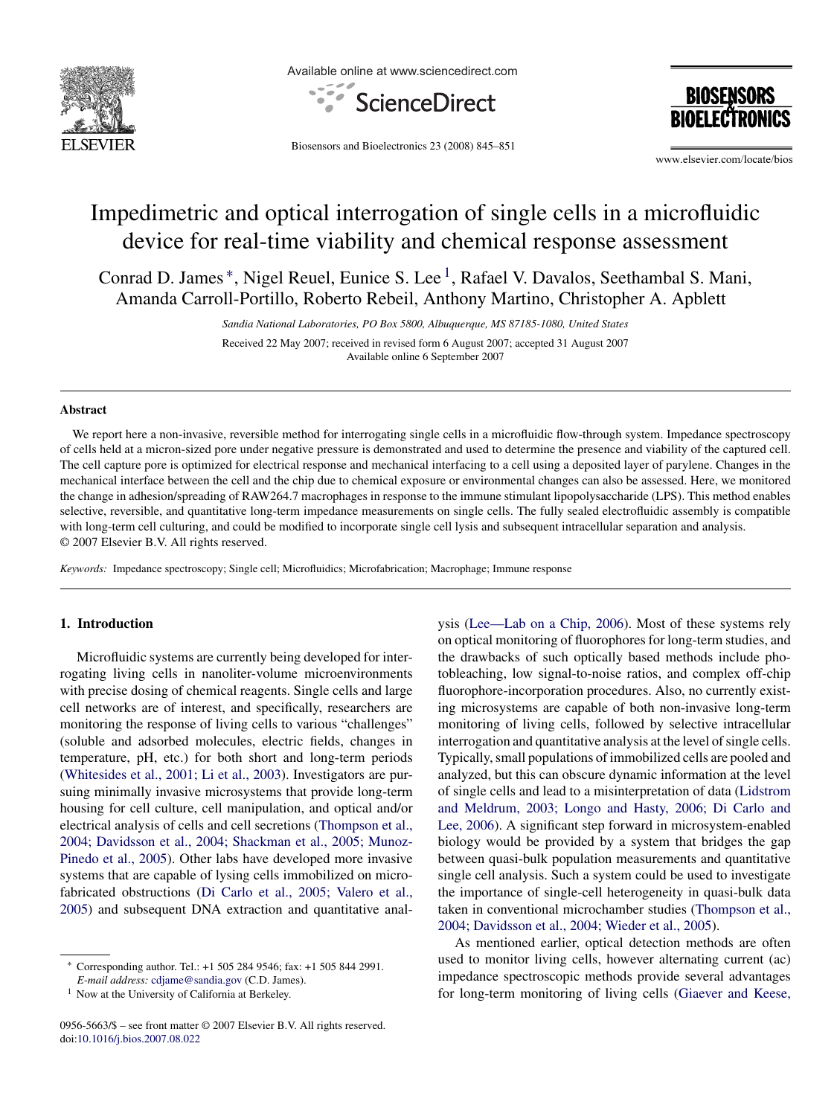

Available online at www.sciencedirect.com



**BIOSENSORS** 

Biosensors and Bioelectronics 23 (2008) 845–851

www.elsevier.com/locate/bios

# Impedimetric and optical interrogation of single cells in a microfluidic device for real-time viability and chemical response assessment

Conrad D. James <sup>∗</sup>, Nigel Reuel, Eunice S. Lee 1, Rafael V. Davalos, Seethambal S. Mani, Amanda Carroll-Portillo, Roberto Rebeil, Anthony Martino, Christopher A. Apblett

> *Sandia National Laboratories, PO Box 5800, Albuquerque, MS 87185-1080, United States* Received 22 May 2007; received in revised form 6 August 2007; accepted 31 August 2007 Available online 6 September 2007

## **Abstract**

We report here a non-invasive, reversible method for interrogating single cells in a microfluidic flow-through system. Impedance spectroscopy of cells held at a micron-sized pore under negative pressure is demonstrated and used to determine the presence and viability of the captured cell. The cell capture pore is optimized for electrical response and mechanical interfacing to a cell using a deposited layer of parylene. Changes in the mechanical interface between the cell and the chip due to chemical exposure or environmental changes can also be assessed. Here, we monitored the change in adhesion/spreading of RAW264.7 macrophages in response to the immune stimulant lipopolysaccharide (LPS). This method enables selective, reversible, and quantitative long-term impedance measurements on single cells. The fully sealed electrofluidic assembly is compatible with long-term cell culturing, and could be modified to incorporate single cell lysis and subsequent intracellular separation and analysis. © 2007 Elsevier B.V. All rights reserved.

*Keywords:* Impedance spectroscopy; Single cell; Microfluidics; Microfabrication; Macrophage; Immune response

# **1. Introduction**

Microfluidic systems are currently being developed for interrogating living cells in nanoliter-volume microenvironments with precise dosing of chemical reagents. Single cells and large cell networks are of interest, and specifically, researchers are monitoring the response of living cells to various "challenges" (soluble and adsorbed molecules, electric fields, changes in temperature, pH, etc.) for both short and long-term periods ([Whitesides et al., 2001; Li et al., 2003\).](#page-6-0) Investigators are pursuing minimally invasive microsystems that provide long-term housing for cell culture, cell manipulation, and optical and/or electrical analysis of cells and cell secretions ([Thompson et al.,](#page-6-0) [2004; Davidsson et al., 2004; Shackman et al., 2005; Munoz-](#page-6-0)Pinedo [et al., 2005\).](#page-6-0) Other labs have developed more invasive systems that are capable of lysing cells immobilized on microfabricated obstructions [\(Di Carlo et al., 2005; Valero et al.,](#page-6-0) [2005\)](#page-6-0) and subsequent DNA extraction and quantitative analysis ([Lee—Lab on a Chip, 2006\).](#page-6-0) Most of these systems rely on optical monitoring of fluorophores for long-term studies, and the drawbacks of such optically based methods include photobleaching, low signal-to-noise ratios, and complex off-chip fluorophore-incorporation procedures. Also, no currently existing microsystems are capable of both non-invasive long-term monitoring of living cells, followed by selective intracellular interrogation and quantitative analysis at the level of single cells. Typically, small populations of immobilized cells are pooled and analyzed, but this can obscure dynamic information at the level of single cells and lead to a misinterpretation of data [\(Lidstrom](#page-6-0) [and Meldrum, 2003; Longo and Hasty, 2006; Di Carlo and](#page-6-0) [Lee, 2006\).](#page-6-0) A significant step forward in microsystem-enabled biology would be provided by a system that bridges the gap between quasi-bulk population measurements and quantitative single cell analysis. Such a system could be used to investigate the importance of single-cell heterogeneity in quasi-bulk data taken in conventional microchamber studies ([Thompson et al.,](#page-6-0) [2004; Davidsson et al., 2004; Wieder et al., 2005\).](#page-6-0)

As mentioned earlier, optical detection methods are often used to monitor living cells, however alternating current (ac) impedance spectroscopic methods provide several advantages for long-term monitoring of living cells ([Giaever and Keese,](#page-6-0)

<sup>∗</sup> Corresponding author. Tel.: +1 505 284 9546; fax: +1 505 844 2991.

*E-mail address:* [cdjame@sandia.gov](mailto:cdjame@sandia.gov) (C.D. James).

<sup>&</sup>lt;sup>1</sup> Now at the University of California at Berkeley.

<sup>0956-5663/\$ –</sup> see front matter © 2007 Elsevier B.V. All rights reserved. doi[:10.1016/j.bios.2007.08.022](dx.doi.org/10.1016/j.bios.2007.08.022)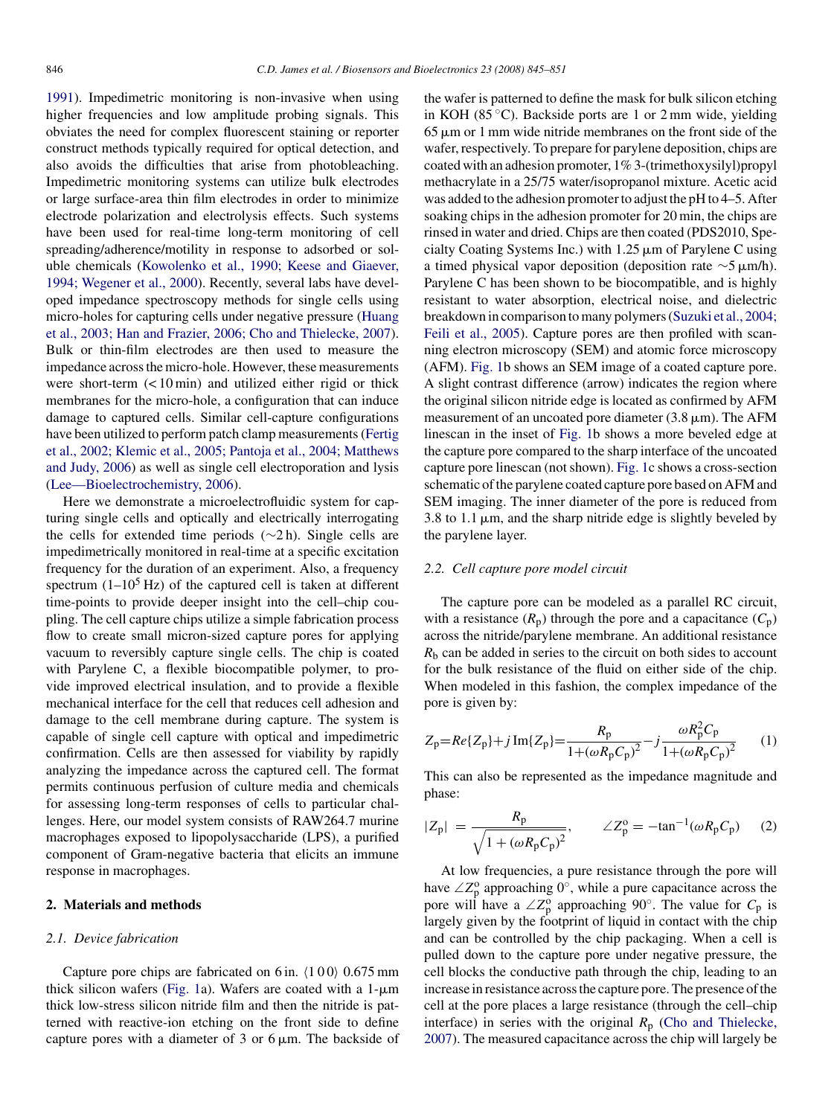<span id="page-1-0"></span>[1991\).](#page-6-0) Impedimetric monitoring is non-invasive when using higher frequencies and low amplitude probing signals. This obviates the need for complex fluorescent staining or reporter construct methods typically required for optical detection, and also avoids the difficulties that arise from photobleaching. Impedimetric monitoring systems can utilize bulk electrodes or large surface-area thin film electrodes in order to minimize electrode polarization and electrolysis effects. Such systems have been used for real-time long-term monitoring of cell spreading/adherence/motility in response to adsorbed or soluble chemicals ([Kowolenko et al., 1990; Keese and Giaever,](#page-6-0) [1994; Wegener et al., 2000\).](#page-6-0) Recently, several labs have developed impedance spectroscopy methods for single cells using micro-holes for capturing cells under negative pressure [\(Huang](#page-6-0) [et al., 2003; Han and Frazier, 2006; Cho and Thielecke, 2007\).](#page-6-0) Bulk or thin-film electrodes are then used to measure the impedance across the micro-hole. However, these measurements were short-term (< 10 min) and utilized either rigid or thick membranes for the micro-hole, a configuration that can induce damage to captured cells. Similar cell-capture configurations have been utilized to perform patch clamp measurements [\(Fertig](#page-6-0) [et al., 2002; Klemic et al., 2005; Pantoja et al., 2004; Matthews](#page-6-0) [and Judy, 2006\)](#page-6-0) as well as single cell electroporation and lysis [\(Lee—Bioelectrochemistry, 2006\).](#page-6-0)

Here we demonstrate a microelectrofluidic system for capturing single cells and optically and electrically interrogating the cells for extended time periods (∼2 h). Single cells are impedimetrically monitored in real-time at a specific excitation frequency for the duration of an experiment. Also, a frequency spectrum  $(1-10^5 \text{ Hz})$  of the captured cell is taken at different time-points to provide deeper insight into the cell–chip coupling. The cell capture chips utilize a simple fabrication process flow to create small micron-sized capture pores for applying vacuum to reversibly capture single cells. The chip is coated with Parylene C, a flexible biocompatible polymer, to provide improved electrical insulation, and to provide a flexible mechanical interface for the cell that reduces cell adhesion and damage to the cell membrane during capture. The system is capable of single cell capture with optical and impedimetric confirmation. Cells are then assessed for viability by rapidly analyzing the impedance across the captured cell. The format permits continuous perfusion of culture media and chemicals for assessing long-term responses of cells to particular challenges. Here, our model system consists of RAW264.7 murine macrophages exposed to lipopolysaccharide (LPS), a purified component of Gram-negative bacteria that elicits an immune response in macrophages.

# **2. Materials and methods**

## *2.1. Device fabrication*

Capture pore chips are fabricated on 6 in.  $(100)$  0.675 mm thick silicon wafers ([Fig. 1a](#page-2-0)). Wafers are coated with a  $1-\mu m$ thick low-stress silicon nitride film and then the nitride is patterned with reactive-ion etching on the front side to define capture pores with a diameter of 3 or  $6 \mu$ m. The backside of

the wafer is patterned to define the mask for bulk silicon etching in KOH (85 $\degree$ C). Backside ports are 1 or 2 mm wide, vielding  $65 \mu m$  or 1 mm wide nitride membranes on the front side of the wafer, respectively. To prepare for parylene deposition, chips are coated with an adhesion promoter, 1% 3-(trimethoxysilyl)propyl methacrylate in a 25/75 water/isopropanol mixture. Acetic acid was added to the adhesion promoter to adjust the pH to 4–5. After soaking chips in the adhesion promoter for 20 min, the chips are rinsed in water and dried. Chips are then coated (PDS2010, Specialty Coating Systems Inc.) with  $1.25 \mu m$  of Parylene C using a timed physical vapor deposition (deposition rate  $\sim$ 5 µm/h). Parylene C has been shown to be biocompatible, and is highly resistant to water absorption, electrical noise, and dielectric breakdown in comparison to many polymers ([Suzuki et al., 2004;](#page-6-0) [Feili et al., 2005\).](#page-6-0) Capture pores are then profiled with scanning electron microscopy (SEM) and atomic force microscopy (AFM). [Fig. 1b](#page-2-0) shows an SEM image of a coated capture pore. A slight contrast difference (arrow) indicates the region where the original silicon nitride edge is located as confirmed by AFM measurement of an uncoated pore diameter  $(3.8 \,\mu\text{m})$ . The AFM linescan in the inset of [Fig. 1b](#page-2-0) shows a more beveled edge at the capture pore compared to the sharp interface of the uncoated capture pore linescan (not shown). [Fig. 1c](#page-2-0) shows a cross-section schematic of the parylene coated capture pore based on AFM and SEM imaging. The inner diameter of the pore is reduced from 3.8 to 1.1  $\mu$ m, and the sharp nitride edge is slightly beveled by the parylene layer.

## *2.2. Cell capture pore model circuit*

The capture pore can be modeled as a parallel RC circuit, with a resistance  $(R_p)$  through the pore and a capacitance  $(C_p)$ across the nitride/parylene membrane. An additional resistance  $R<sub>b</sub>$  can be added in series to the circuit on both sides to account for the bulk resistance of the fluid on either side of the chip. When modeled in this fashion, the complex impedance of the pore is given by:

$$
Z_{p} = Re\{Z_{p}\} + j\operatorname{Im}\{Z_{p}\} = \frac{R_{p}}{1 + (\omega R_{p}C_{p})^{2}} - j\frac{\omega R_{p}^{2}C_{p}}{1 + (\omega R_{p}C_{p})^{2}} \tag{1}
$$

This can also be represented as the impedance magnitude and phase:

$$
|Z_{\rm p}| = \frac{R_{\rm p}}{\sqrt{1 + (\omega R_{\rm p} C_{\rm p})^2}}, \qquad \angle Z_{\rm p}^{\rm o} = -\tan^{-1}(\omega R_{\rm p} C_{\rm p}) \qquad (2)
$$

At low frequencies, a pure resistance through the pore will have  $\angle Z_p^{\circ}$  approaching  $0^{\circ}$ , while a pure capacitance across the pore will have a  $\angle Z_p^{\circ}$  approaching 90°. The value for  $C_p$  is largely given by the footprint of liquid in contact with the chip and can be controlled by the chip packaging. When a cell is pulled down to the capture pore under negative pressure, the cell blocks the conductive path through the chip, leading to an increase in resistance across the capture pore. The presence of the cell at the pore places a large resistance (through the cell–chip interface) in series with the original  $R_p$  [\(Cho and Thielecke,](#page-6-0) [2007\).](#page-6-0) The measured capacitance across the chip will largely be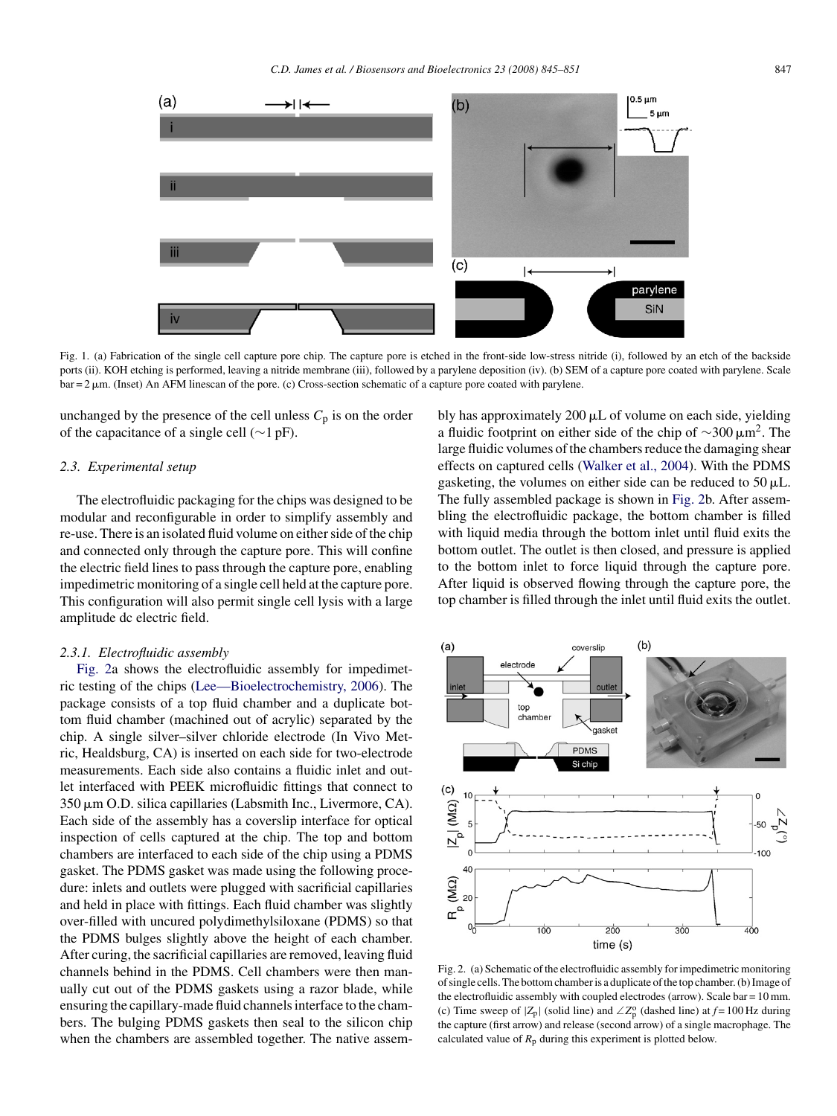<span id="page-2-0"></span>

Fig. 1. (a) Fabrication of the single cell capture pore chip. The capture pore is etched in the front-side low-stress nitride (i), followed by an etch of the backside ports (ii). KOH etching is performed, leaving a nitride membrane (iii), followed by a parylene deposition (iv). (b) SEM of a capture pore coated with parylene. Scale  $bar = 2 \mu m$ . (Inset) An AFM linescan of the pore. (c) Cross-section schematic of a capture pore coated with parylene.

unchanged by the presence of the cell unless  $C_p$  is on the order of the capacitance of a single cell (∼1 pF).

## *2.3. Experimental setup*

The electrofluidic packaging for the chips was designed to be modular and reconfigurable in order to simplify assembly and re-use. There is an isolated fluid volume on either side of the chip and connected only through the capture pore. This will confine the electric field lines to pass through the capture pore, enabling impedimetric monitoring of a single cell held at the capture pore. This configuration will also permit single cell lysis with a large amplitude dc electric field.

#### *2.3.1. Electrofluidic assembly*

Fig. 2a shows the electrofluidic assembly for impedimetric testing of the chips [\(Lee—Bioelectrochemistry, 2006\).](#page-6-0) The package consists of a top fluid chamber and a duplicate bottom fluid chamber (machined out of acrylic) separated by the chip. A single silver–silver chloride electrode (In Vivo Metric, Healdsburg, CA) is inserted on each side for two-electrode measurements. Each side also contains a fluidic inlet and outlet interfaced with PEEK microfluidic fittings that connect to 350 µm O.D. silica capillaries (Labsmith Inc., Livermore, CA). Each side of the assembly has a coverslip interface for optical inspection of cells captured at the chip. The top and bottom chambers are interfaced to each side of the chip using a PDMS gasket. The PDMS gasket was made using the following procedure: inlets and outlets were plugged with sacrificial capillaries and held in place with fittings. Each fluid chamber was slightly over-filled with uncured polydimethylsiloxane (PDMS) so that the PDMS bulges slightly above the height of each chamber. After curing, the sacrificial capillaries are removed, leaving fluid channels behind in the PDMS. Cell chambers were then manually cut out of the PDMS gaskets using a razor blade, while ensuring the capillary-made fluid channels interface to the chambers. The bulging PDMS gaskets then seal to the silicon chip when the chambers are assembled together. The native assem-

bly has approximately  $200 \mu L$  of volume on each side, yielding a fluidic footprint on either side of the chip of  $\sim$ 300  $\mu$ m<sup>2</sup>. The large fluidic volumes of the chambers reduce the damaging shear effects on captured cells [\(Walker et al., 2004\).](#page-6-0) With the PDMS gasketing, the volumes on either side can be reduced to  $50 \mu L$ . The fully assembled package is shown in Fig. 2b. After assembling the electrofluidic package, the bottom chamber is filled with liquid media through the bottom inlet until fluid exits the bottom outlet. The outlet is then closed, and pressure is applied to the bottom inlet to force liquid through the capture pore. After liquid is observed flowing through the capture pore, the top chamber is filled through the inlet until fluid exits the outlet.



Fig. 2. (a) Schematic of the electrofluidic assembly for impedimetric monitoring of single cells. The bottom chamber is a duplicate of the top chamber. (b) Image of the electrofluidic assembly with coupled electrodes (arrow). Scale bar =  $10$  mm. (c) Time sweep of  $|Z_p|$  (solid line) and  $\angle Z_p^{\circ}$  (dashed line) at  $f = 100$  Hz during the capture (first arrow) and release (second arrow) of a single macrophage. The calculated value of  $R_p$  during this experiment is plotted below.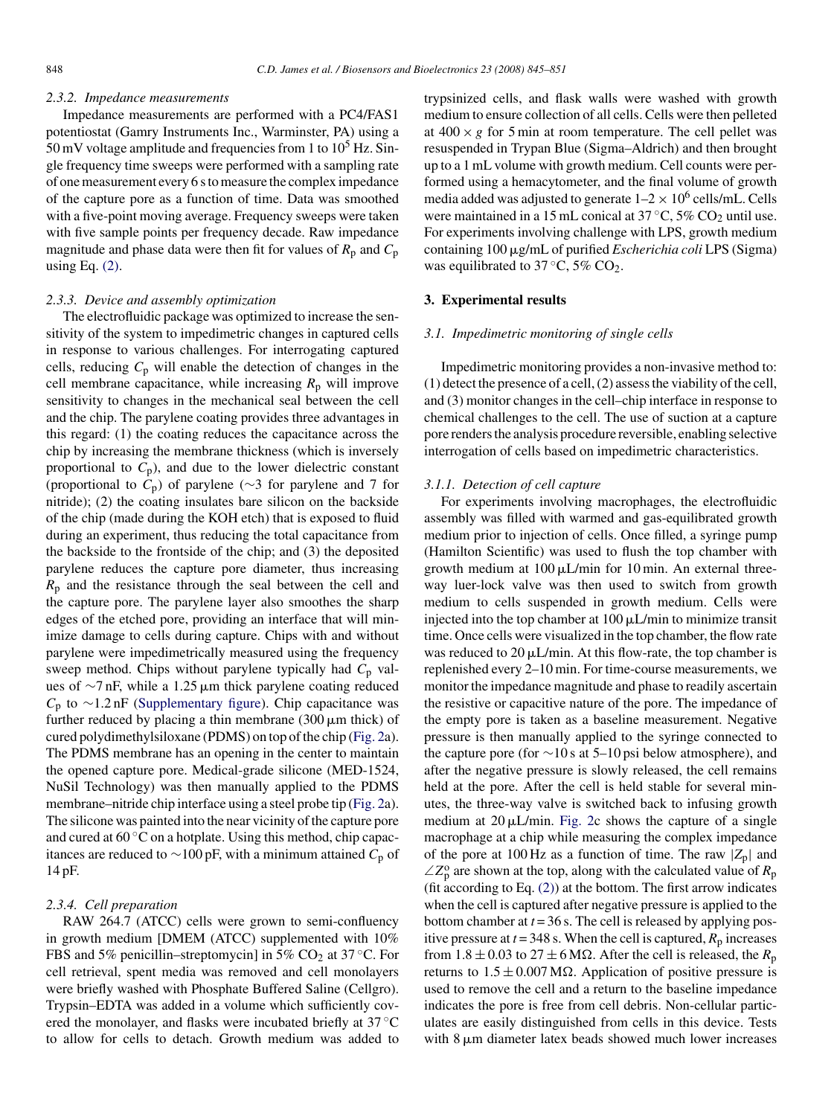#### <span id="page-3-0"></span>*2.3.2. Impedance measurements*

Impedance measurements are performed with a PC4/FAS1 potentiostat (Gamry Instruments Inc., Warminster, PA) using a 50 mV voltage amplitude and frequencies from 1 to  $10^5$  Hz. Single frequency time sweeps were performed with a sampling rate of one measurement every 6 s to measure the complex impedance of the capture pore as a function of time. Data was smoothed with a five-point moving average. Frequency sweeps were taken with five sample points per frequency decade. Raw impedance magnitude and phase data were then fit for values of  $R_p$  and  $C_p$ using Eq.  $(2)$ .

#### *2.3.3. Device and assembly optimization*

The electrofluidic package was optimized to increase the sensitivity of the system to impedimetric changes in captured cells in response to various challenges. For interrogating captured cells, reducing *C*<sup>p</sup> will enable the detection of changes in the cell membrane capacitance, while increasing  $R_p$  will improve sensitivity to changes in the mechanical seal between the cell and the chip. The parylene coating provides three advantages in this regard: (1) the coating reduces the capacitance across the chip by increasing the membrane thickness (which is inversely proportional to  $C_p$ ), and due to the lower dielectric constant (proportional to *C*p) of parylene (∼3 for parylene and 7 for nitride); (2) the coating insulates bare silicon on the backside of the chip (made during the KOH etch) that is exposed to fluid during an experiment, thus reducing the total capacitance from the backside to the frontside of the chip; and (3) the deposited parylene reduces the capture pore diameter, thus increasing *R*<sup>p</sup> and the resistance through the seal between the cell and the capture pore. The parylene layer also smoothes the sharp edges of the etched pore, providing an interface that will minimize damage to cells during capture. Chips with and without parylene were impedimetrically measured using the frequency sweep method. Chips without parylene typically had  $C_p$  values of  $\sim$ 7 nF, while a 1.25 µm thick parylene coating reduced *C*<sup>p</sup> to ∼1.2 nF (Supplementary figure). Chip capacitance was further reduced by placing a thin membrane  $(300 \,\mu\text{m}$  thick) of cured polydimethylsiloxane (PDMS) on top of the chip [\(Fig. 2a\)](#page-2-0). The PDMS membrane has an opening in the center to maintain the opened capture pore. Medical-grade silicone (MED-1524, NuSil Technology) was then manually applied to the PDMS membrane–nitride chip interface using a steel probe tip [\(Fig. 2a\)](#page-2-0). The silicone was painted into the near vicinity of the capture pore and cured at  $60^{\circ}$ C on a hotplate. Using this method, chip capacitances are reduced to ∼100 pF, with a minimum attained *C*<sup>p</sup> of 14 pF.

# *2.3.4. Cell preparation*

RAW 264.7 (ATCC) cells were grown to semi-confluency in growth medium [DMEM (ATCC) supplemented with 10% FBS and 5% penicillin–streptomycin] in 5%  $CO<sub>2</sub>$  at 37 °C. For cell retrieval, spent media was removed and cell monolayers were briefly washed with Phosphate Buffered Saline (Cellgro). Trypsin–EDTA was added in a volume which sufficiently covered the monolayer, and flasks were incubated briefly at 37 ◦C to allow for cells to detach. Growth medium was added to

trypsinized cells, and flask walls were washed with growth medium to ensure collection of all cells. Cells were then pelleted at  $400 \times g$  for 5 min at room temperature. The cell pellet was resuspended in Trypan Blue (Sigma–Aldrich) and then brought up to a 1 mL volume with growth medium. Cell counts were performed using a hemacytometer, and the final volume of growth media added was adjusted to generate  $1-2 \times 10^6$  cells/mL. Cells were maintained in a 15 mL conical at  $37^{\circ}$ C,  $5\%$  CO<sub>2</sub> until use. For experiments involving challenge with LPS, growth medium containing 100 µg/mL of purified *Escherichia coli* LPS (Sigma) was equilibrated to  $37^{\circ}$ C,  $5\%$  CO<sub>2</sub>.

# **3. Experimental results**

## *3.1. Impedimetric monitoring of single cells*

Impedimetric monitoring provides a non-invasive method to: (1) detect the presence of a cell, (2) assess the viability of the cell, and (3) monitor changes in the cell–chip interface in response to chemical challenges to the cell. The use of suction at a capture pore renders the analysis procedure reversible, enabling selective interrogation of cells based on impedimetric characteristics.

## *3.1.1. Detection of cell capture*

For experiments involving macrophages, the electrofluidic assembly was filled with warmed and gas-equilibrated growth medium prior to injection of cells. Once filled, a syringe pump (Hamilton Scientific) was used to flush the top chamber with growth medium at  $100 \mu L/min$  for  $10 min$ . An external threeway luer-lock valve was then used to switch from growth medium to cells suspended in growth medium. Cells were injected into the top chamber at  $100 \mu L/min$  to minimize transit time. Once cells were visualized in the top chamber, the flow rate was reduced to  $20 \mu L/min$ . At this flow-rate, the top chamber is replenished every 2–10 min. For time-course measurements, we monitor the impedance magnitude and phase to readily ascertain the resistive or capacitive nature of the pore. The impedance of the empty pore is taken as a baseline measurement. Negative pressure is then manually applied to the syringe connected to the capture pore (for  $\sim$ 10 s at 5–10 psi below atmosphere), and after the negative pressure is slowly released, the cell remains held at the pore. After the cell is held stable for several minutes, the three-way valve is switched back to infusing growth medium at  $20 \mu L/min$ . [Fig. 2c](#page-2-0) shows the capture of a single macrophage at a chip while measuring the complex impedance of the pore at 100 Hz as a function of time. The raw  $|Z_p|$  and  $\angle Z_p^{\text{o}}$  are shown at the top, along with the calculated value of  $R_p$ (fit according to Eq. [\(2\)\)](#page-1-0) at the bottom. The first arrow indicates when the cell is captured after negative pressure is applied to the bottom chamber at  $t = 36$  s. The cell is released by applying positive pressure at  $t = 348$  s. When the cell is captured,  $R_p$  increases from  $1.8 \pm 0.03$  to  $27 \pm 6$  M $\Omega$ . After the cell is released, the  $R_p$ returns to  $1.5 \pm 0.007 \text{ M}\Omega$ . Application of positive pressure is used to remove the cell and a return to the baseline impedance indicates the pore is free from cell debris. Non-cellular particulates are easily distinguished from cells in this device. Tests with 8  $\mu$ m diameter latex beads showed much lower increases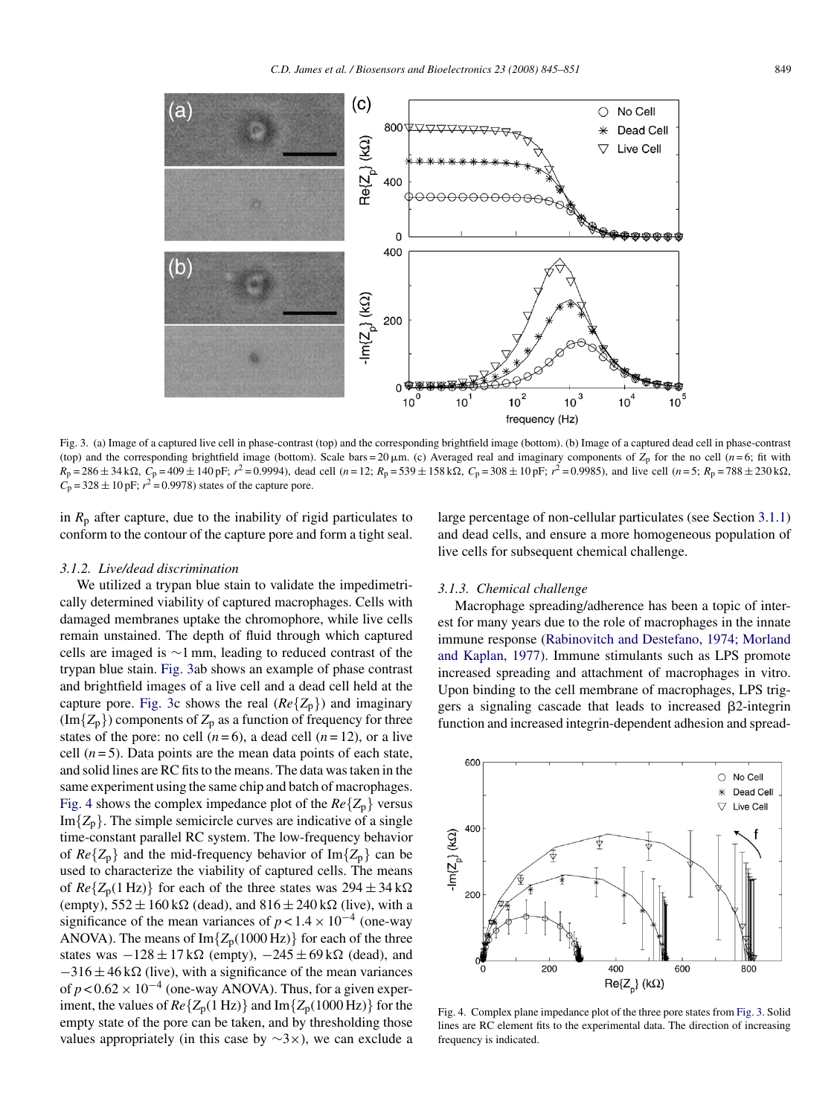

Fig. 3. (a) Image of a captured live cell in phase-contrast (top) and the corresponding brightfield image (bottom). (b) Image of a captured dead cell in phase-contrast (top) and the corresponding brightfield image (bottom). Scale bars = 20  $\mu$ m. (c) Averaged real and imaginary components of  $Z_p$  for the no cell (*n* = 6; fit with  $R_p = 286 \pm 34 \text{ k}\Omega$ ,  $C_p = 409 \pm 140 \text{ pF}$ ;  $r^2 = 0.9994$ ), dead cell (*n* = 12;  $R_p = 539 \pm 158 \text{ k}\Omega$ ,  $C_p = 308 \pm 10 \text{ pF}$ ;  $r^2 = 0.9985$ ), and live cell (*n* = 5;  $R_p = 788 \pm 230 \text{ k}\Omega$ ,  $C_p = 328 \pm 10 \text{ pF};$   $r^2 = 0.9978$ ) states of the capture pore.

in  $R_p$  after capture, due to the inability of rigid particulates to conform to the contour of the capture pore and form a tight seal.

#### *3.1.2. Live/dead discrimination*

We utilized a trypan blue stain to validate the impedimetrically determined viability of captured macrophages. Cells with damaged membranes uptake the chromophore, while live cells remain unstained. The depth of fluid through which captured cells are imaged is ∼1 mm, leading to reduced contrast of the trypan blue stain. Fig. 3ab shows an example of phase contrast and brightfield images of a live cell and a dead cell held at the capture pore. Fig. 3c shows the real  $(Re\{Z_p\})$  and imaginary  $(\text{Im}\{Z_p\})$  components of  $Z_p$  as a function of frequency for three states of the pore: no cell  $(n=6)$ , a dead cell  $(n=12)$ , or a live cell  $(n=5)$ . Data points are the mean data points of each state, and solid lines are RC fits to the means. The data was taken in the same experiment using the same chip and batch of macrophages. Fig. 4 shows the complex impedance plot of the  $Re\{Z_p\}$  versus  $Im{Z_n}$ . The simple semicircle curves are indicative of a single time-constant parallel RC system. The low-frequency behavior of  $Re\{Z_p\}$  and the mid-frequency behavior of Im $\{Z_p\}$  can be used to characterize the viability of captured cells. The means of  $Re\{Z_p(1\text{ Hz})\}$  for each of the three states was  $294 \pm 34 \text{ k}\Omega$ (empty),  $552 \pm 160 \text{ k}\Omega$  (dead), and  $816 \pm 240 \text{ k}\Omega$  (live), with a significance of the mean variances of  $p < 1.4 \times 10^{-4}$  (one-way ANOVA). The means of  $Im{Z_p(1000 Hz)}$  for each of the three states was  $-128 \pm 17 \text{ k}\Omega$  (empty),  $-245 \pm 69 \text{ k}\Omega$  (dead), and  $-316 \pm 46$  k $\Omega$  (live), with a significance of the mean variances of  $p < 0.62 \times 10^{-4}$  (one-way ANOVA). Thus, for a given experiment, the values of  $Re\{Z_p(1 \text{ Hz})\}$  and  $Im\{Z_p(1000 \text{ Hz})\}$  for the empty state of the pore can be taken, and by thresholding those values appropriately (in this case by  $\sim$ 3×), we can exclude a

large percentage of non-cellular particulates (see Section [3.1.1\)](#page-3-0) and dead cells, and ensure a more homogeneous population of live cells for subsequent chemical challenge.

#### *3.1.3. Chemical challenge*

Macrophage spreading/adherence has been a topic of interest for many years due to the role of macrophages in the innate immune response [\(Rabinovitch and Destefano, 1974; Morland](#page-6-0) [and Kaplan, 1977\).](#page-6-0) Immune stimulants such as LPS promote increased spreading and attachment of macrophages in vitro. Upon binding to the cell membrane of macrophages, LPS triggers a signaling cascade that leads to increased  $\beta$ 2-integrin function and increased integrin-dependent adhesion and spread-



Fig. 4. Complex plane impedance plot of the three pore states from Fig. 3. Solid lines are RC element fits to the experimental data. The direction of increasing frequency is indicated.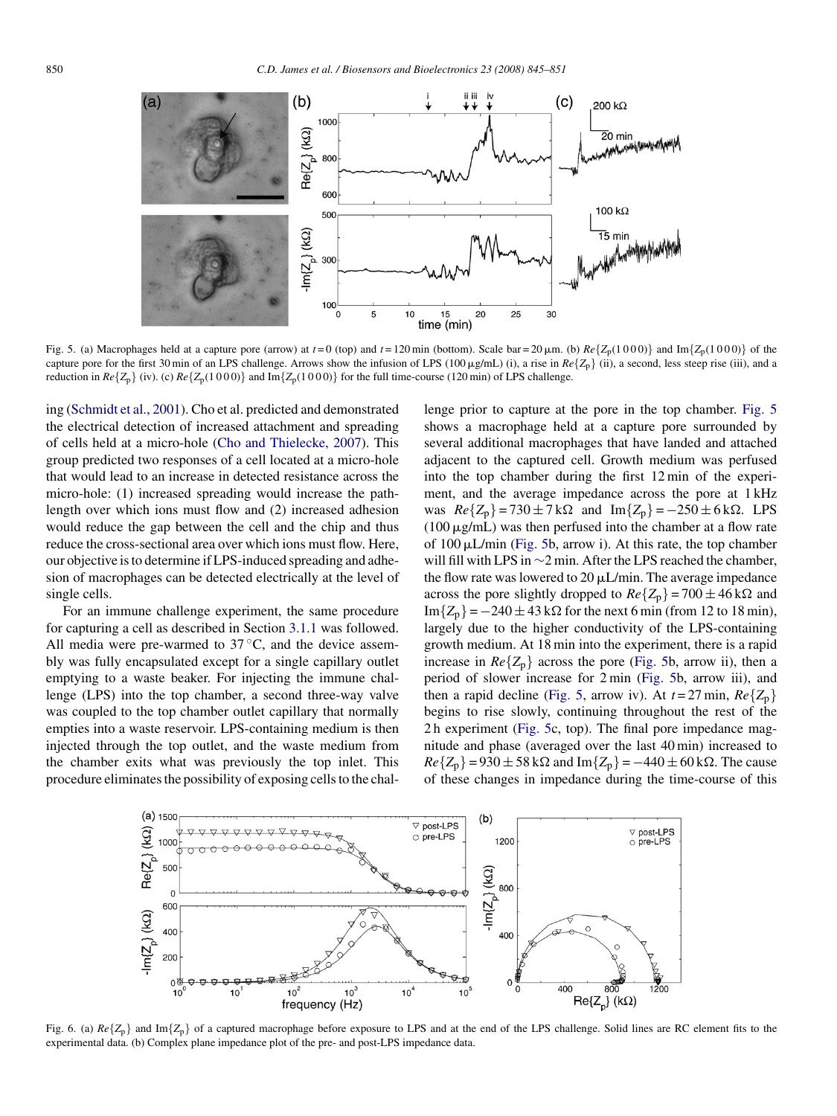<span id="page-5-0"></span>

Fig. 5. (a) Macrophages held at a capture pore (arrow) at  $t = 0$  (top) and  $t = 120$  min (bottom). Scale bar = 20  $\mu$ m. (b)  $Re\{Z_p(1000)\}$  and Im $\{Z_p(1000)\}$  of the capture pore for the first 30 min of an LPS challenge. Arrows show the infusion of LPS (100  $\mu$ g/mL) (i), a rise in  $Re\{Z_p\}$  (ii), a second, less steep rise (iii), and a reduction in  $Re\{Z_p\}$  (iv). (c)  $Re\{Z_p(1000)\}$  and  $Im\{Z_p(1000)\}$  for the full time-course (120 min) of LPS challenge.

ing ([Schmidt et al., 2001\).](#page-6-0) Cho et al. predicted and demonstrated the electrical detection of increased attachment and spreading of cells held at a micro-hole ([Cho and Thielecke, 2007\).](#page-6-0) This group predicted two responses of a cell located at a micro-hole that would lead to an increase in detected resistance across the micro-hole: (1) increased spreading would increase the pathlength over which ions must flow and (2) increased adhesion would reduce the gap between the cell and the chip and thus reduce the cross-sectional area over which ions must flow. Here, our objective is to determine if LPS-induced spreading and adhesion of macrophages can be detected electrically at the level of single cells.

For an immune challenge experiment, the same procedure for capturing a cell as described in Section [3.1.1](#page-3-0) was followed. All media were pre-warmed to  $37^{\circ}$ C, and the device assembly was fully encapsulated except for a single capillary outlet emptying to a waste beaker. For injecting the immune challenge (LPS) into the top chamber, a second three-way valve was coupled to the top chamber outlet capillary that normally empties into a waste reservoir. LPS-containing medium is then injected through the top outlet, and the waste medium from the chamber exits what was previously the top inlet. This procedure eliminates the possibility of exposing cells to the challenge prior to capture at the pore in the top chamber. Fig. 5 shows a macrophage held at a capture pore surrounded by several additional macrophages that have landed and attached adjacent to the captured cell. Growth medium was perfused into the top chamber during the first 12 min of the experiment, and the average impedance across the pore at 1 kHz was *Re*{*Z*<sub>p</sub>} = 730 ± 7 kΩ and Im{*Z*<sub>p</sub>} = −250 ± 6 kΩ. LPS  $(100 \,\mu\text{g/mL})$  was then perfused into the chamber at a flow rate of 100 µL/min (Fig. 5b, arrow i). At this rate, the top chamber will fill with LPS in ∼2 min. After the LPS reached the chamber, the flow rate was lowered to  $20 \mu L/min$ . The average impedance across the pore slightly dropped to  $Re{Z_p}$  = 700 ± 46 k $\Omega$  and  $Im{Z_n} = -240 \pm 43 \text{ k}\Omega$  for the next 6 min (from 12 to 18 min), largely due to the higher conductivity of the LPS-containing growth medium. At 18 min into the experiment, there is a rapid increase in  $Re{Z_p}$  across the pore (Fig. 5b, arrow ii), then a period of slower increase for 2 min (Fig. 5b, arrow iii), and then a rapid decline (Fig. 5, arrow iv). At  $t = 27$  min,  $Re\{Z_p\}$ begins to rise slowly, continuing throughout the rest of the 2 h experiment (Fig. 5c, top). The final pore impedance magnitude and phase (averaged over the last 40 min) increased to  $Re{Z_p} = 930 \pm 58 \text{ k}\Omega$  and  $Im{Z_p} = -440 \pm 60 \text{ k}\Omega$ . The cause of these changes in impedance during the time-course of this



Fig. 6. (a)  $Re{Z_p}$  and Im{ $Z_p$ } of a captured macrophage before exposure to LPS and at the end of the LPS challenge. Solid lines are RC element fits to the experimental data. (b) Complex plane impedance plot of the pre- and post-LPS impedance data.